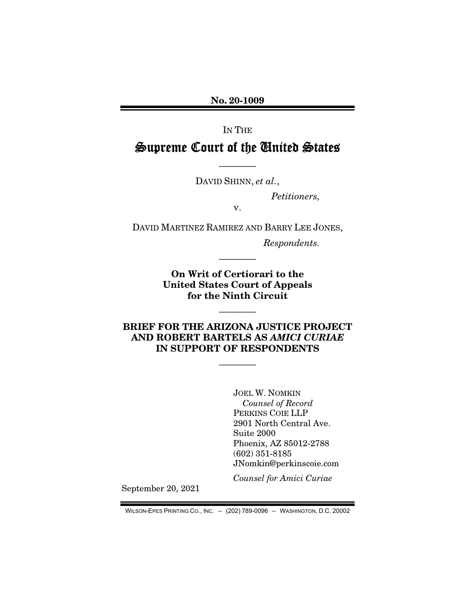No. 20-1009

IN THE Supreme Court of the United States

————

DAVID SHINN, *et al.*,

*Petitioners,* 

v.

DAVID MARTINEZ RAMIREZ AND BARRY LEE JONES,

*Respondents.* 

On Writ of Certiorari to the United States Court of Appeals for the Ninth Circuit

————

## BRIEF FOR THE ARIZONA JUSTICE PROJECT AND ROBERT BARTELS AS *AMICI CURIAE*  IN SUPPORT OF RESPONDENTS

————

————

JOEL W. NOMKIN *Counsel of Record*  PERKINS COIE LLP 2901 North Central Ave. Suite 2000 Phoenix, AZ 85012-2788 (602) 351-8185 JNomkin@perkinscoie.com

*Counsel for Amici Curiae* 

September 20, 2021

WILSON-EPES PRINTING CO., INC. – (202) 789-0096 – WASHINGTON, D.C. 20002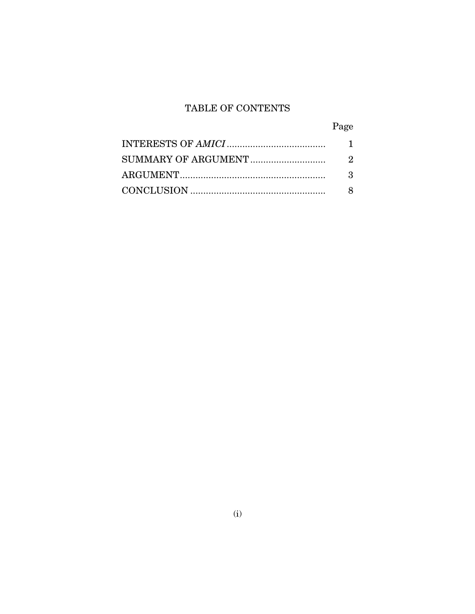# TABLE OF CONTENTS

| Page |
|------|
|      |
| 2    |
| 3    |
|      |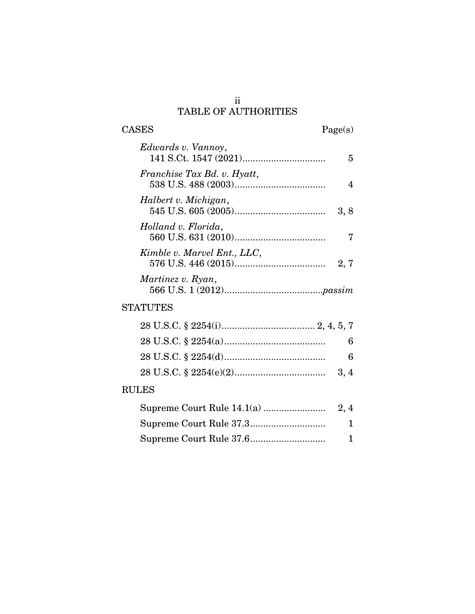## ii TABLE OF AUTHORITIES

 $\begin{tabular}{cc} \textbf{CASES} & \textbf{Page(s)}\\ \end{tabular}$ 

| Edwards v. Vannoy,          | 5    |
|-----------------------------|------|
| Franchise Tax Bd. v. Hyatt, |      |
| Halbert v. Michigan,        | 3, 8 |
| Holland v. Florida,         |      |
| Kimble v. Marvel Ent., LLC, | 2.7  |
| Martinez v. Ryan,           |      |
| <b>STATUTES</b>             |      |

# RULES

| $\mathbf{1}$ |
|--------------|
| $\mathbf{1}$ |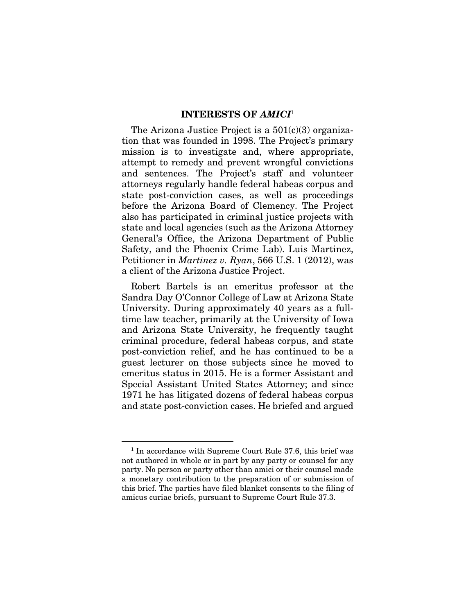## INTERESTS OF *AMICI*<sup>1</sup>

The Arizona Justice Project is a  $501(c)(3)$  organization that was founded in 1998. The Project's primary mission is to investigate and, where appropriate, attempt to remedy and prevent wrongful convictions and sentences. The Project's staff and volunteer attorneys regularly handle federal habeas corpus and state post-conviction cases, as well as proceedings before the Arizona Board of Clemency. The Project also has participated in criminal justice projects with state and local agencies (such as the Arizona Attorney General's Office, the Arizona Department of Public Safety, and the Phoenix Crime Lab). Luis Martinez, Petitioner in *Martinez v. Ryan*, 566 U.S. 1 (2012), was a client of the Arizona Justice Project.

Robert Bartels is an emeritus professor at the Sandra Day O'Connor College of Law at Arizona State University. During approximately 40 years as a fulltime law teacher, primarily at the University of Iowa and Arizona State University, he frequently taught criminal procedure, federal habeas corpus, and state post-conviction relief, and he has continued to be a guest lecturer on those subjects since he moved to emeritus status in 2015. He is a former Assistant and Special Assistant United States Attorney; and since 1971 he has litigated dozens of federal habeas corpus and state post-conviction cases. He briefed and argued

<sup>&</sup>lt;sup>1</sup> In accordance with Supreme Court Rule 37.6, this brief was not authored in whole or in part by any party or counsel for any party. No person or party other than amici or their counsel made a monetary contribution to the preparation of or submission of this brief. The parties have filed blanket consents to the filing of amicus curiae briefs, pursuant to Supreme Court Rule 37.3.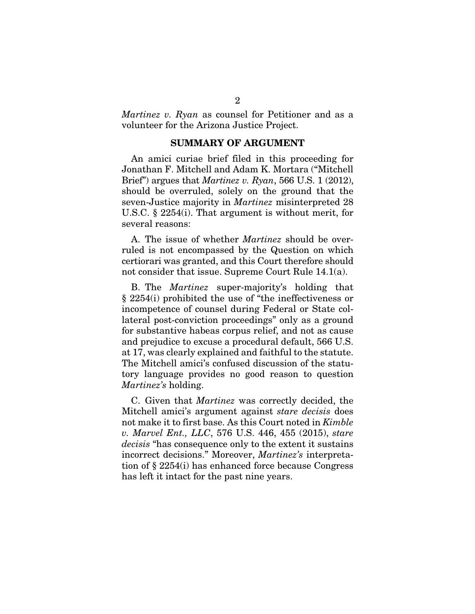*Martinez v. Ryan* as counsel for Petitioner and as a volunteer for the Arizona Justice Project.

### SUMMARY OF ARGUMENT

An amici curiae brief filed in this proceeding for Jonathan F. Mitchell and Adam K. Mortara ("Mitchell Brief") argues that *Martinez v. Ryan*, 566 U.S. 1 (2012), should be overruled, solely on the ground that the seven-Justice majority in *Martinez* misinterpreted 28 U.S.C. § 2254(i). That argument is without merit, for several reasons:

A. The issue of whether *Martinez* should be overruled is not encompassed by the Question on which certiorari was granted, and this Court therefore should not consider that issue. Supreme Court Rule 14.1(a).

B. The *Martinez* super-majority's holding that § 2254(i) prohibited the use of "the ineffectiveness or incompetence of counsel during Federal or State collateral post-conviction proceedings" only as a ground for substantive habeas corpus relief, and not as cause and prejudice to excuse a procedural default, 566 U.S. at 17, was clearly explained and faithful to the statute. The Mitchell amici's confused discussion of the statutory language provides no good reason to question *Martinez's* holding.

C. Given that *Martinez* was correctly decided, the Mitchell amici's argument against *stare decisis* does not make it to first base. As this Court noted in *Kimble v. Marvel Ent., LLC*, 576 U.S. 446, 455 (2015), *stare decisis* "has consequence only to the extent it sustains incorrect decisions." Moreover, *Martinez's* interpretation of § 2254(i) has enhanced force because Congress has left it intact for the past nine years.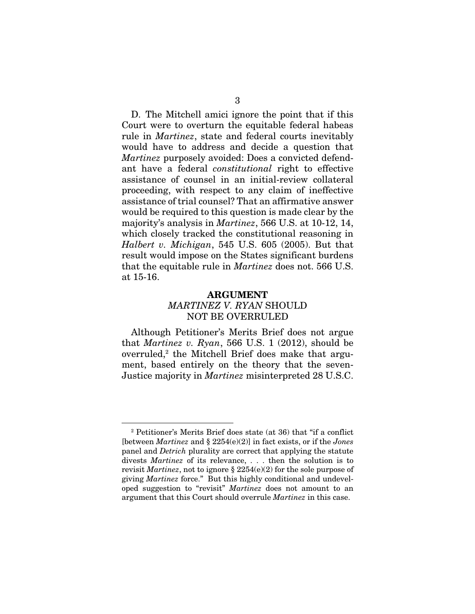D. The Mitchell amici ignore the point that if this Court were to overturn the equitable federal habeas rule in *Martinez*, state and federal courts inevitably would have to address and decide a question that *Martinez* purposely avoided: Does a convicted defendant have a federal *constitutional* right to effective assistance of counsel in an initial-review collateral proceeding, with respect to any claim of ineffective assistance of trial counsel? That an affirmative answer would be required to this question is made clear by the majority's analysis in *Martinez*, 566 U.S. at 10-12, 14, which closely tracked the constitutional reasoning in *Halbert v. Michigan*, 545 U.S. 605 (2005). But that result would impose on the States significant burdens that the equitable rule in *Martinez* does not. 566 U.S. at 15-16.

## ARGUMENT *MARTINEZ V. RYAN* SHOULD NOT BE OVERRULED

Although Petitioner's Merits Brief does not argue that *Martinez v. Ryan*, 566 U.S. 1 (2012), should be overruled,<sup>2</sup> the Mitchell Brief does make that argument, based entirely on the theory that the seven-Justice majority in *Martinez* misinterpreted 28 U.S.C.

<sup>2</sup> Petitioner's Merits Brief does state (at 36) that "if a conflict [between *Martinez* and § 2254(e)(2)] in fact exists, or if the *Jones* panel and *Detrich* plurality are correct that applying the statute divests *Martinez* of its relevance, . . . then the solution is to revisit *Martinez*, not to ignore § 2254(e)(2) for the sole purpose of giving *Martinez* force." But this highly conditional and undeveloped suggestion to "revisit" *Martinez* does not amount to an argument that this Court should overrule *Martinez* in this case.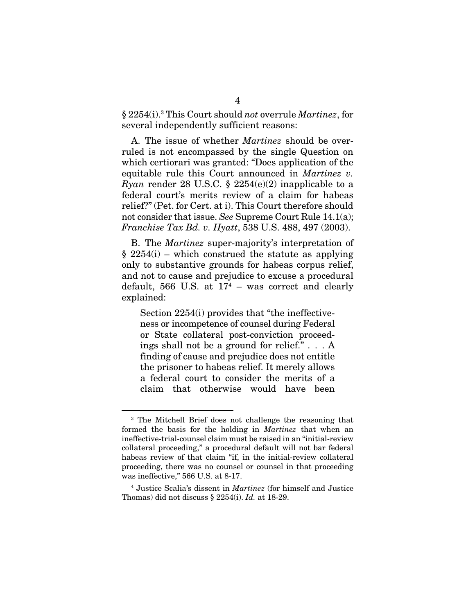§ 2254(i).3 This Court should *not* overrule *Martinez*, for several independently sufficient reasons:

A. The issue of whether *Martinez* should be overruled is not encompassed by the single Question on which certiorari was granted: "Does application of the equitable rule this Court announced in *Martinez v. Ryan* render 28 U.S.C. § 2254(e)(2) inapplicable to a federal court's merits review of a claim for habeas relief?" (Pet. for Cert. at i). This Court therefore should not consider that issue. *See* Supreme Court Rule 14.1(a); *Franchise Tax Bd. v. Hyatt*, 538 U.S. 488, 497 (2003).

B. The *Martinez* super-majority's interpretation of  $\S 2254(i)$  – which construed the statute as applying only to substantive grounds for habeas corpus relief, and not to cause and prejudice to excuse a procedural default, 566 U.S. at  $17<sup>4</sup>$  – was correct and clearly explained:

Section 2254(i) provides that "the ineffectiveness or incompetence of counsel during Federal or State collateral post-conviction proceedings shall not be a ground for relief." . . . A finding of cause and prejudice does not entitle the prisoner to habeas relief. It merely allows a federal court to consider the merits of a claim that otherwise would have been

<sup>3</sup> The Mitchell Brief does not challenge the reasoning that formed the basis for the holding in *Martinez* that when an ineffective-trial-counsel claim must be raised in an "initial-review collateral proceeding," a procedural default will not bar federal habeas review of that claim "if, in the initial-review collateral proceeding, there was no counsel or counsel in that proceeding was ineffective," 566 U.S. at 8-17.

<sup>4</sup> Justice Scalia's dissent in *Martinez* (for himself and Justice Thomas) did not discuss § 2254(i). *Id.* at 18-29.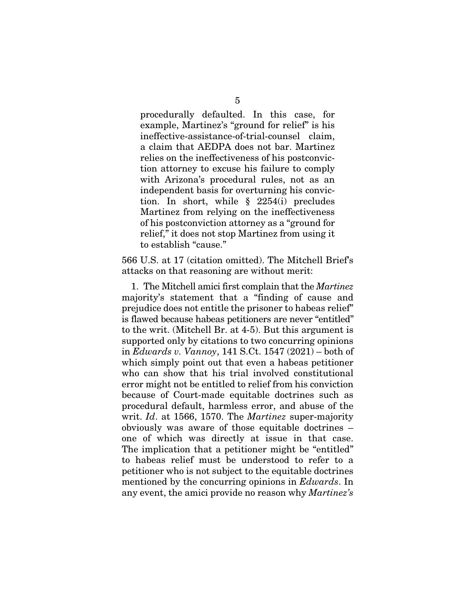procedurally defaulted. In this case, for example, Martinez's "ground for relief" is his ineffective-assistance-of-trial-counsel claim, a claim that AEDPA does not bar. Martinez relies on the ineffectiveness of his postconviction attorney to excuse his failure to comply with Arizona's procedural rules, not as an independent basis for overturning his conviction. In short, while § 2254(i) precludes Martinez from relying on the ineffectiveness of his postconviction attorney as a "ground for relief," it does not stop Martinez from using it to establish "cause."

566 U.S. at 17 (citation omitted). The Mitchell Brief's attacks on that reasoning are without merit:

1. The Mitchell amici first complain that the *Martinez* majority's statement that a "finding of cause and prejudice does not entitle the prisoner to habeas relief" is flawed because habeas petitioners are never "entitled" to the writ. (Mitchell Br. at 4-5). But this argument is supported only by citations to two concurring opinions in *Edwards v. Vannoy*, 141 S.Ct. 1547 (2021) – both of which simply point out that even a habeas petitioner who can show that his trial involved constitutional error might not be entitled to relief from his conviction because of Court-made equitable doctrines such as procedural default, harmless error, and abuse of the writ. *Id*. at 1566, 1570. The *Martinez* super-majority obviously was aware of those equitable doctrines – one of which was directly at issue in that case. The implication that a petitioner might be "entitled" to habeas relief must be understood to refer to a petitioner who is not subject to the equitable doctrines mentioned by the concurring opinions in *Edwards*. In any event, the amici provide no reason why *Martinez's*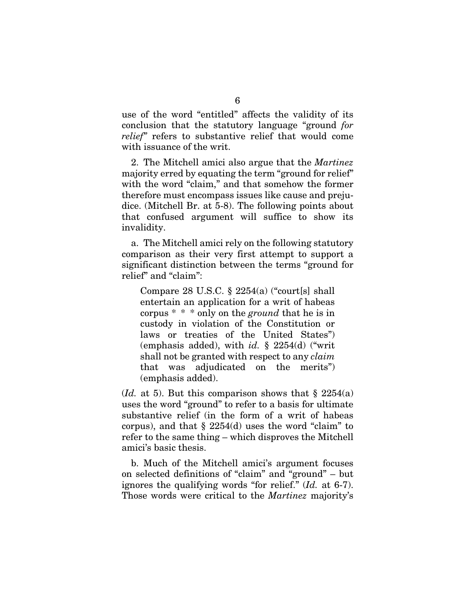use of the word "entitled" affects the validity of its conclusion that the statutory language "ground *for relief"* refers to substantive relief that would come with issuance of the writ.

2. The Mitchell amici also argue that the *Martinez* majority erred by equating the term "ground for relief" with the word "claim," and that somehow the former therefore must encompass issues like cause and prejudice. (Mitchell Br. at 5-8). The following points about that confused argument will suffice to show its invalidity.

a. The Mitchell amici rely on the following statutory comparison as their very first attempt to support a significant distinction between the terms "ground for relief" and "claim":

Compare 28 U.S.C.  $\S$  2254(a) ("court[s] shall entertain an application for a writ of habeas corpus \* \* \* only on the *ground* that he is in custody in violation of the Constitution or laws or treaties of the United States") (emphasis added), with *id.* § 2254(d) ("writ shall not be granted with respect to any *claim* that was adjudicated on the merits") (emphasis added).

(*Id.* at 5). But this comparison shows that  $\S$  2254(a) uses the word "ground" to refer to a basis for ultimate substantive relief (in the form of a writ of habeas corpus), and that  $\S 2254(d)$  uses the word "claim" to refer to the same thing – which disproves the Mitchell amici's basic thesis.

b. Much of the Mitchell amici's argument focuses on selected definitions of "claim" and "ground" – but ignores the qualifying words "for relief." (*Id.* at 6-7). Those words were critical to the *Martinez* majority's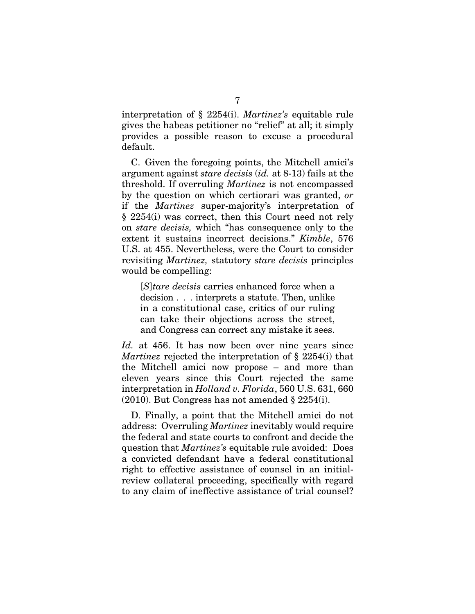interpretation of § 2254(i). *Martinez's* equitable rule gives the habeas petitioner no "relief" at all; it simply provides a possible reason to excuse a procedural default.

C. Given the foregoing points, the Mitchell amici's argument against *stare decisis* (*id.* at 8-13) fails at the threshold. If overruling *Martinez* is not encompassed by the question on which certiorari was granted, *or* if the *Martinez* super-majority's interpretation of § 2254(i) was correct, then this Court need not rely on *stare decisis,* which "has consequence only to the extent it sustains incorrect decisions." *Kimble*, 576 U.S. at 455. Nevertheless, were the Court to consider revisiting *Martinez,* statutory *stare decisis* principles would be compelling:

[*S*]*tare decisis* carries enhanced force when a decision . . . interprets a statute. Then, unlike in a constitutional case, critics of our ruling can take their objections across the street, and Congress can correct any mistake it sees.

*Id.* at 456. It has now been over nine years since *Martinez* rejected the interpretation of § 2254(i) that the Mitchell amici now propose – and more than eleven years since this Court rejected the same interpretation in *Holland v. Florida*, 560 U.S. 631, 660 (2010). But Congress has not amended § 2254(i).

D. Finally, a point that the Mitchell amici do not address: Overruling *Martinez* inevitably would require the federal and state courts to confront and decide the question that *Martinez's* equitable rule avoided: Does a convicted defendant have a federal constitutional right to effective assistance of counsel in an initialreview collateral proceeding, specifically with regard to any claim of ineffective assistance of trial counsel?